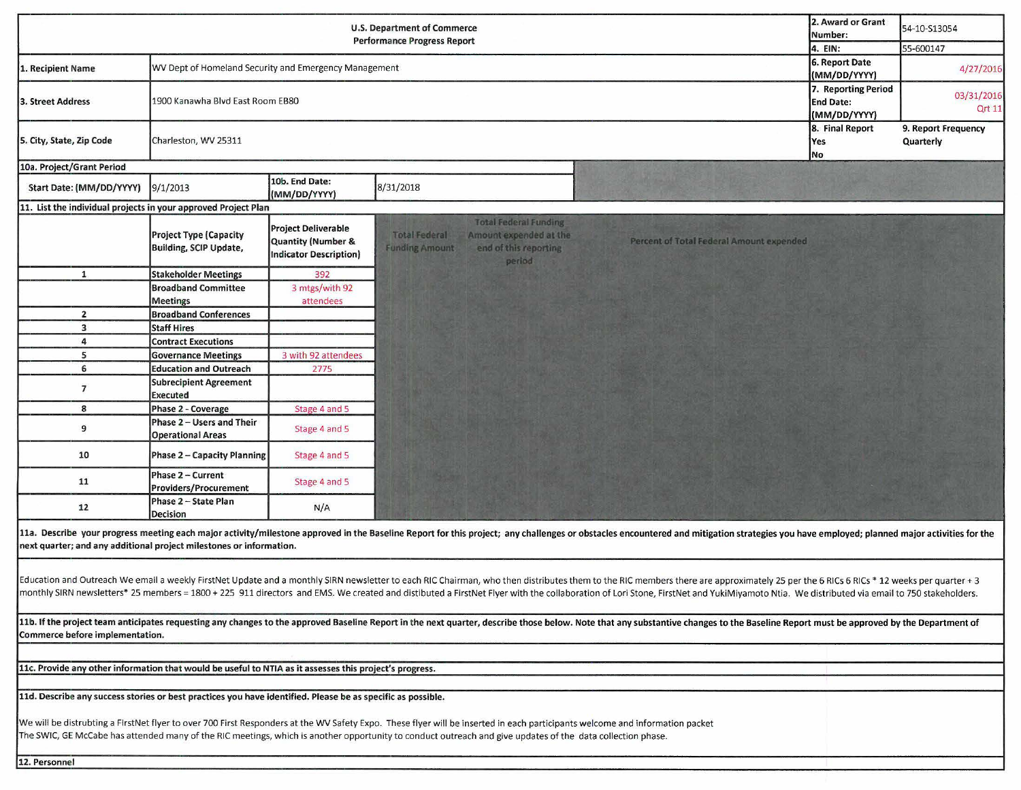|                                                                                                                                                                                                                                                                                                                                                                                                                                                                  | 2. Award or Grant<br>Number:<br>4. EIN:                 | 54-10-S13054<br>55-600147                                                         |                                                                                                                                            |                                          |  |                                  |  |  |  |  |  |
|------------------------------------------------------------------------------------------------------------------------------------------------------------------------------------------------------------------------------------------------------------------------------------------------------------------------------------------------------------------------------------------------------------------------------------------------------------------|---------------------------------------------------------|-----------------------------------------------------------------------------------|--------------------------------------------------------------------------------------------------------------------------------------------|------------------------------------------|--|----------------------------------|--|--|--|--|--|
| 1. Recipient Name                                                                                                                                                                                                                                                                                                                                                                                                                                                | WV Dept of Homeland Security and Emergency Management   |                                                                                   |                                                                                                                                            |                                          |  | 4/27/2016                        |  |  |  |  |  |
| 1900 Kanawha Blvd East Room EB80<br>3. Street Address                                                                                                                                                                                                                                                                                                                                                                                                            |                                                         |                                                                                   |                                                                                                                                            |                                          |  | 03/31/2016<br><b>Qrt 11</b>      |  |  |  |  |  |
| 5. City, State, Zip Code<br>Charleston, WV 25311                                                                                                                                                                                                                                                                                                                                                                                                                 |                                                         |                                                                                   |                                                                                                                                            |                                          |  | 9. Report Frequency<br>Quarterly |  |  |  |  |  |
| 10a. Project/Grant Period                                                                                                                                                                                                                                                                                                                                                                                                                                        |                                                         |                                                                                   |                                                                                                                                            |                                          |  |                                  |  |  |  |  |  |
| Start Date: (MM/DD/YYYY)                                                                                                                                                                                                                                                                                                                                                                                                                                         | 9/1/2013                                                | 10b. End Date:<br>(MM/DD/YYYY)                                                    | 8/31/2018                                                                                                                                  |                                          |  |                                  |  |  |  |  |  |
| 11. List the individual projects in your approved Project Plan                                                                                                                                                                                                                                                                                                                                                                                                   |                                                         |                                                                                   |                                                                                                                                            |                                          |  |                                  |  |  |  |  |  |
|                                                                                                                                                                                                                                                                                                                                                                                                                                                                  | <b>Project Type (Capacity</b><br>Building, SCIP Update, | <b>Project Deliverable</b><br>Quantity (Number &<br><b>Indicator Description)</b> | <b>Total Federal Funding</b><br><b>Total Federal</b><br>Amount expended at the<br>end of this reporting<br><b>Funding Amount</b><br>period | Percent of Total Federal Amount expended |  |                                  |  |  |  |  |  |
| $\mathbf{1}$                                                                                                                                                                                                                                                                                                                                                                                                                                                     | <b>Stakeholder Meetings</b>                             | 392                                                                               |                                                                                                                                            |                                          |  |                                  |  |  |  |  |  |
|                                                                                                                                                                                                                                                                                                                                                                                                                                                                  | <b>Broadband Committee</b><br><b>Meetings</b>           | 3 mtgs/with 92<br>attendees                                                       |                                                                                                                                            |                                          |  |                                  |  |  |  |  |  |
| $\overline{2}$                                                                                                                                                                                                                                                                                                                                                                                                                                                   | <b>Broadband Conferences</b>                            |                                                                                   |                                                                                                                                            |                                          |  |                                  |  |  |  |  |  |
| 3                                                                                                                                                                                                                                                                                                                                                                                                                                                                | <b>Staff Hires</b>                                      |                                                                                   |                                                                                                                                            |                                          |  |                                  |  |  |  |  |  |
| 4                                                                                                                                                                                                                                                                                                                                                                                                                                                                | <b>Contract Executions</b>                              |                                                                                   |                                                                                                                                            |                                          |  |                                  |  |  |  |  |  |
| 5                                                                                                                                                                                                                                                                                                                                                                                                                                                                | <b>Governance Meetings</b>                              | 3 with 92 attendees                                                               |                                                                                                                                            |                                          |  |                                  |  |  |  |  |  |
| 6                                                                                                                                                                                                                                                                                                                                                                                                                                                                | <b>Education and Outreach</b>                           | 2775                                                                              |                                                                                                                                            |                                          |  |                                  |  |  |  |  |  |
| $\overline{\phantom{a}}$                                                                                                                                                                                                                                                                                                                                                                                                                                         | <b>Subrecipient Agreement</b><br>Executed               |                                                                                   |                                                                                                                                            |                                          |  |                                  |  |  |  |  |  |
| 8                                                                                                                                                                                                                                                                                                                                                                                                                                                                | Phase 2 - Coverage                                      | Stage 4 and 5                                                                     |                                                                                                                                            |                                          |  |                                  |  |  |  |  |  |
| 9                                                                                                                                                                                                                                                                                                                                                                                                                                                                | Phase 2 - Users and Their<br><b>Operational Areas</b>   | Stage 4 and 5                                                                     |                                                                                                                                            |                                          |  |                                  |  |  |  |  |  |
| 10                                                                                                                                                                                                                                                                                                                                                                                                                                                               | <b>Phase 2 – Capacity Planning</b>                      | Stage 4 and 5                                                                     |                                                                                                                                            |                                          |  |                                  |  |  |  |  |  |
| 11                                                                                                                                                                                                                                                                                                                                                                                                                                                               | Phase 2 - Current<br><b>Providers/Procurement</b>       | Stage 4 and 5                                                                     |                                                                                                                                            |                                          |  |                                  |  |  |  |  |  |
| 12                                                                                                                                                                                                                                                                                                                                                                                                                                                               | Phase 2 - State Plan<br><b>Decision</b>                 | N/A                                                                               |                                                                                                                                            |                                          |  |                                  |  |  |  |  |  |
| 11a. Describe your progress meeting each major activity/milestone approved in the Baseline Report for this project; any challenges or obstacles encountered and mitigation strategies you have employed; planned major activit<br>next quarter; and any additional project milestones or information.                                                                                                                                                            |                                                         |                                                                                   |                                                                                                                                            |                                          |  |                                  |  |  |  |  |  |
| Education and Outreach We email a weekly FirstNet Update and a monthly SIRN newsletter to each RIC Chairman, who then distributes them to the RIC members there are approximately 25 per the 6 RICs 6 RICs * 12 weeks per quar<br>monthly SIRN newsletters* 25 members = 1800 + 225 911 directors and EMS. We created and distibuted a FirstNet Flyer with the collaboration of Lori Stone, FirstNet and YukiMiyamoto Ntia. We distributed via email to 750 stak |                                                         |                                                                                   |                                                                                                                                            |                                          |  |                                  |  |  |  |  |  |
| 11b. If the project team anticipates requesting any changes to the approved Baseline Report in the next quarter, describe those below. Note that any substantive changes to the Baseline Report must be approved by the Depart<br>Commerce before implementation.                                                                                                                                                                                                |                                                         |                                                                                   |                                                                                                                                            |                                          |  |                                  |  |  |  |  |  |
|                                                                                                                                                                                                                                                                                                                                                                                                                                                                  |                                                         |                                                                                   |                                                                                                                                            |                                          |  |                                  |  |  |  |  |  |
| 11c. Provide any other information that would be useful to NTIA as it assesses this project's progress.                                                                                                                                                                                                                                                                                                                                                          |                                                         |                                                                                   |                                                                                                                                            |                                          |  |                                  |  |  |  |  |  |
| 11d. Describe any success stories or best practices you have identified. Please be as specific as possible.                                                                                                                                                                                                                                                                                                                                                      |                                                         |                                                                                   |                                                                                                                                            |                                          |  |                                  |  |  |  |  |  |
| We will be distrubting a FIrstNet flyer to over 700 First Responders at the WV Safety Expo. These flyer will be inserted in each participants welcome and information packet<br>The SWIC, GE McCabe has attended many of the RIC meetings, which is another opportunity to conduct outreach and give updates of the data collection phase.                                                                                                                       |                                                         |                                                                                   |                                                                                                                                            |                                          |  |                                  |  |  |  |  |  |
| 12. Personnel                                                                                                                                                                                                                                                                                                                                                                                                                                                    |                                                         |                                                                                   |                                                                                                                                            |                                          |  |                                  |  |  |  |  |  |